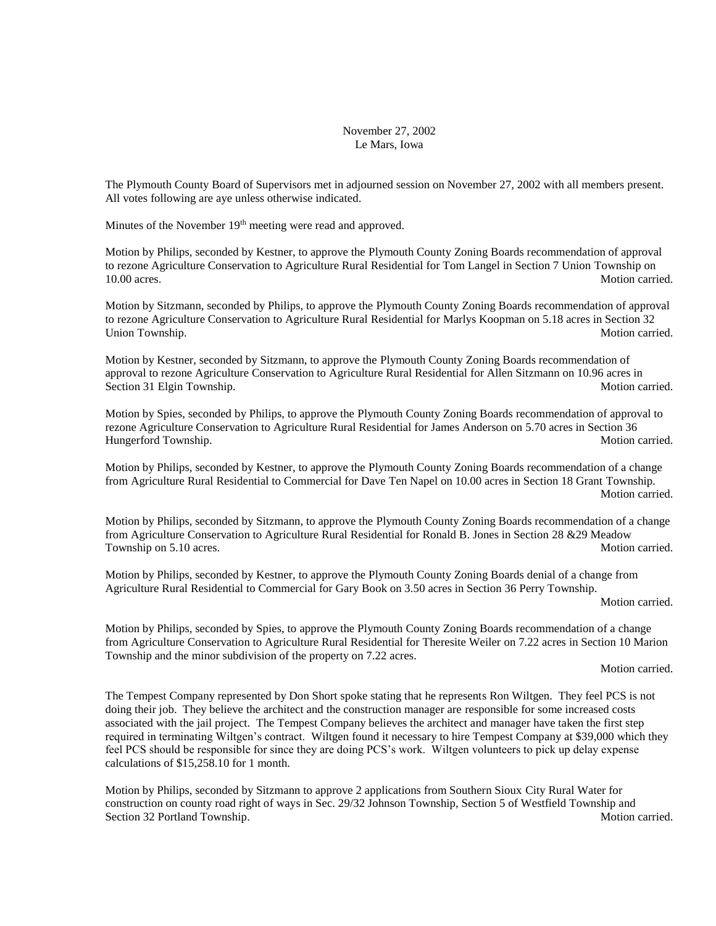## November 27, 2002 Le Mars, Iowa

The Plymouth County Board of Supervisors met in adjourned session on November 27, 2002 with all members present. All votes following are aye unless otherwise indicated.

Minutes of the November 19<sup>th</sup> meeting were read and approved.

Motion by Philips, seconded by Kestner, to approve the Plymouth County Zoning Boards recommendation of approval to rezone Agriculture Conservation to Agriculture Rural Residential for Tom Langel in Section 7 Union Township on 10.00 acres. Motion carried.

Motion by Sitzmann, seconded by Philips, to approve the Plymouth County Zoning Boards recommendation of approval to rezone Agriculture Conservation to Agriculture Rural Residential for Marlys Koopman on 5.18 acres in Section 32 Union Township. Motion carried.

Motion by Kestner, seconded by Sitzmann, to approve the Plymouth County Zoning Boards recommendation of approval to rezone Agriculture Conservation to Agriculture Rural Residential for Allen Sitzmann on 10.96 acres in Section 31 Elgin Township. **Motion carried.** Motion carried.

Motion by Spies, seconded by Philips, to approve the Plymouth County Zoning Boards recommendation of approval to rezone Agriculture Conservation to Agriculture Rural Residential for James Anderson on 5.70 acres in Section 36 Hungerford Township. **Motion carried.** Motion carried.

Motion by Philips, seconded by Kestner, to approve the Plymouth County Zoning Boards recommendation of a change from Agriculture Rural Residential to Commercial for Dave Ten Napel on 10.00 acres in Section 18 Grant Township. Motion carried.

Motion by Philips, seconded by Sitzmann, to approve the Plymouth County Zoning Boards recommendation of a change from Agriculture Conservation to Agriculture Rural Residential for Ronald B. Jones in Section 28 &29 Meadow Township on 5.10 acres. Motion carried.

Motion by Philips, seconded by Kestner, to approve the Plymouth County Zoning Boards denial of a change from Agriculture Rural Residential to Commercial for Gary Book on 3.50 acres in Section 36 Perry Township.

Motion carried.

Motion by Philips, seconded by Spies, to approve the Plymouth County Zoning Boards recommendation of a change from Agriculture Conservation to Agriculture Rural Residential for Theresite Weiler on 7.22 acres in Section 10 Marion Township and the minor subdivision of the property on 7.22 acres.

Motion carried.

The Tempest Company represented by Don Short spoke stating that he represents Ron Wiltgen. They feel PCS is not doing their job. They believe the architect and the construction manager are responsible for some increased costs associated with the jail project. The Tempest Company believes the architect and manager have taken the first step required in terminating Wiltgen's contract. Wiltgen found it necessary to hire Tempest Company at \$39,000 which they feel PCS should be responsible for since they are doing PCS's work. Wiltgen volunteers to pick up delay expense calculations of \$15,258.10 for 1 month.

Motion by Philips, seconded by Sitzmann to approve 2 applications from Southern Sioux City Rural Water for construction on county road right of ways in Sec. 29/32 Johnson Township, Section 5 of Westfield Township and Section 32 Portland Township. Motion carried.